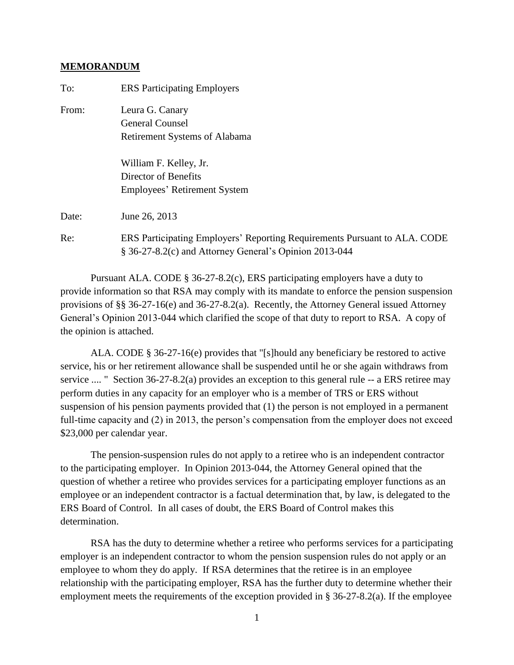## **MEMORANDUM**

| To:   | <b>ERS Participating Employers</b>                                                                                                  |
|-------|-------------------------------------------------------------------------------------------------------------------------------------|
| From: | Leura G. Canary                                                                                                                     |
|       | <b>General Counsel</b>                                                                                                              |
|       | <b>Retirement Systems of Alabama</b>                                                                                                |
|       | William F. Kelley, Jr.                                                                                                              |
|       | Director of Benefits                                                                                                                |
|       | <b>Employees' Retirement System</b>                                                                                                 |
| Date: | June 26, 2013                                                                                                                       |
| Re:   | ERS Participating Employers' Reporting Requirements Pursuant to ALA. CODE<br>§ 36-27-8.2(c) and Attorney General's Opinion 2013-044 |
|       |                                                                                                                                     |

Pursuant ALA. CODE § 36-27-8.2(c), ERS participating employers have a duty to provide information so that RSA may comply with its mandate to enforce the pension suspension provisions of §§ 36-27-16(e) and 36-27-8.2(a). Recently, the Attorney General issued Attorney General's Opinion 2013-044 which clarified the scope of that duty to report to RSA. A copy of the opinion is attached.

ALA. CODE § 36-27-16(e) provides that "[s]hould any beneficiary be restored to active service, his or her retirement allowance shall be suspended until he or she again withdraws from service .... " Section 36-27-8.2(a) provides an exception to this general rule -- a ERS retiree may perform duties in any capacity for an employer who is a member of TRS or ERS without suspension of his pension payments provided that (1) the person is not employed in a permanent full-time capacity and (2) in 2013, the person's compensation from the employer does not exceed \$23,000 per calendar year.

The pension-suspension rules do not apply to a retiree who is an independent contractor to the participating employer. In Opinion 2013-044, the Attorney General opined that the question of whether a retiree who provides services for a participating employer functions as an employee or an independent contractor is a factual determination that, by law, is delegated to the ERS Board of Control. In all cases of doubt, the ERS Board of Control makes this determination.

RSA has the duty to determine whether a retiree who performs services for a participating employer is an independent contractor to whom the pension suspension rules do not apply or an employee to whom they do apply. If RSA determines that the retiree is in an employee relationship with the participating employer, RSA has the further duty to determine whether their employment meets the requirements of the exception provided in § 36-27-8.2(a). If the employee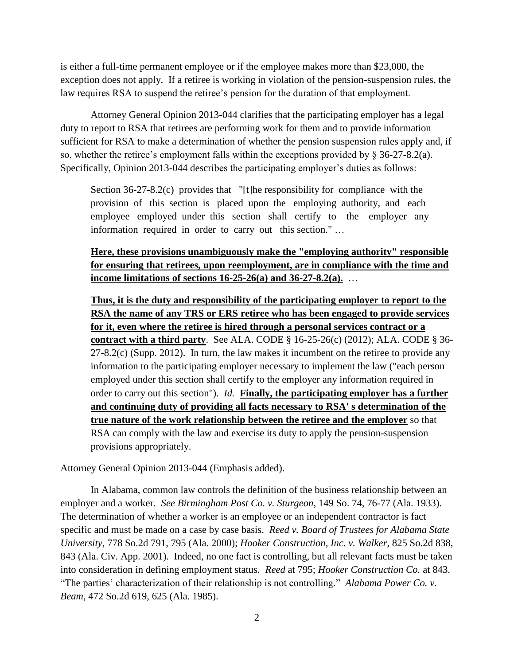is either a full-time permanent employee or if the employee makes more than \$23,000, the exception does not apply. If a retiree is working in violation of the pension-suspension rules, the law requires RSA to suspend the retiree's pension for the duration of that employment.

Attorney General Opinion 2013-044 clarifies that the participating employer has a legal duty to report to RSA that retirees are performing work for them and to provide information sufficient for RSA to make a determination of whether the pension suspension rules apply and, if so, whether the retiree's employment falls within the exceptions provided by  $\S$  36-27-8.2(a). Specifically, Opinion 2013-044 describes the participating employer's duties as follows:

Section 36-27-8.2(c) provides that "[t]he responsibility for compliance with the provision of this section is placed upon the employing authority, and each employee employed under this section shall certify to the employer any information required in order to carry out this section." …

**Here, these provisions unambiguously make the "employing authority" responsible for ensuring that retirees, upon reemployment, are in compliance with the time and income limitations of sections 16-25-26(a) and 36-27-8.2(a).** …

**Thus, it is the duty and responsibility of the participating employer to report to the RSA the name of any TRS or ERS retiree who has been engaged to provide services for it, even where the retiree is hired through a personal services contract or a contract with a third party**. See ALA. CODE § 16-25-26(c) (2012); ALA. CODE § 36-  $27-8.2(c)$  (Supp. 2012). In turn, the law makes it incumbent on the retiree to provide any information to the participating employer necessary to implement the law ("each person employed under this section shall certify to the employer any information required in order to carry out this section"). *Id.* **Finally, the participating employer has a further and continuing duty of providing all facts necessary to RSA' s determination of the true nature of the work relationship between the retiree and the employer** so that RSA can comply with the law and exercise its duty to apply the pension-suspension provisions appropriately.

Attorney General Opinion 2013-044 (Emphasis added).

In Alabama, common law controls the definition of the business relationship between an employer and a worker. *See Birmingham Post Co. v. Sturgeon*, 149 So. 74, 76-77 (Ala. 1933). The determination of whether a worker is an employee or an independent contractor is fact specific and must be made on a case by case basis. *Reed v. Board of Trustees for Alabama State University*, 778 So.2d 791, 795 (Ala. 2000); *Hooker Construction, Inc. v. Walker*, 825 So.2d 838, 843 (Ala. Civ. App. 2001). Indeed, no one fact is controlling, but all relevant facts must be taken into consideration in defining employment status. *Reed* at 795; *Hooker Construction Co.* at 843. "The parties' characterization of their relationship is not controlling." *Alabama Power Co. v. Beam*, 472 So.2d 619, 625 (Ala. 1985).